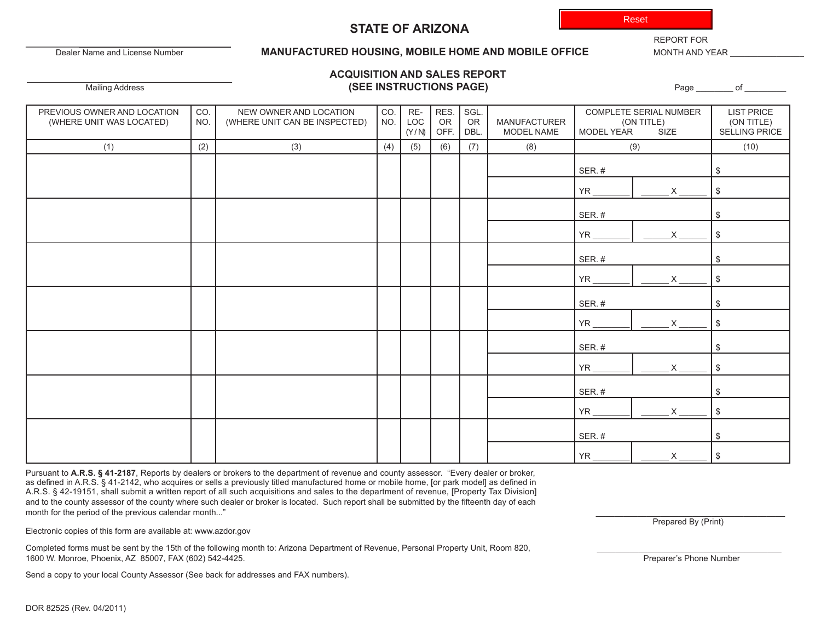Reset

## **STATE OF ARIZONA**

Dealer Name and License Number

#### **MANUFACTURED HOUSING, MOBILE HOME AND MOBILE OFFICE** MONTH AND YEAR

REPORT FOR

## **ACQUISITION AND SALES REPORT** Mailing Address **(SEE INSTRUCTIONS PAGE)** Page \_\_\_\_\_\_\_\_ of \_\_\_\_\_\_\_\_\_

| PREVIOUS OWNER AND LOCATION<br>(WHERE UNIT WAS LOCATED) | CO.<br>NO. | NEW OWNER AND LOCATION<br>(WHERE UNIT CAN BE INSPECTED) | CO.<br>NO. | RE-<br>LOC<br>(Y/N) | RES.<br>OR<br>OFF. | SGL.<br>OR<br>DBL. | MANUFACTURER<br>MODEL NAME | COMPLETE SERIAL NUMBER<br>(ON TITLE)<br>SIZE<br>MODEL YEAR |          | <b>LIST PRICE</b><br>(ON TITLE)<br><b>SELLING PRICE</b> |
|---------------------------------------------------------|------------|---------------------------------------------------------|------------|---------------------|--------------------|--------------------|----------------------------|------------------------------------------------------------|----------|---------------------------------------------------------|
| (1)                                                     | (2)        | (3)                                                     | (4)        | (5)                 | (6)                | (7)                | (8)                        | (9)                                                        |          | (10)                                                    |
|                                                         |            |                                                         |            |                     |                    |                    |                            | SER.#                                                      |          | \$                                                      |
|                                                         |            |                                                         |            |                     |                    |                    |                            | $YR_$                                                      | $\times$ | \$                                                      |
|                                                         |            |                                                         |            |                     |                    |                    |                            | SER.#                                                      |          | \$                                                      |
|                                                         |            |                                                         |            |                     |                    |                    |                            | YR                                                         |          | \$                                                      |
|                                                         |            |                                                         |            |                     |                    |                    |                            | SER.#                                                      |          | \$                                                      |
|                                                         |            |                                                         |            |                     |                    |                    |                            | $YR_$                                                      | X        | \$                                                      |
|                                                         |            |                                                         |            |                     |                    |                    |                            | SER.#                                                      |          | \$                                                      |
|                                                         |            |                                                         |            |                     |                    |                    |                            | <b>YR</b>                                                  |          | \$                                                      |
|                                                         |            |                                                         |            |                     |                    |                    |                            | SER.#                                                      |          | \$                                                      |
|                                                         |            |                                                         |            |                     |                    |                    |                            | YR                                                         | X        | \$                                                      |
|                                                         |            |                                                         |            |                     |                    |                    |                            | SER.#                                                      |          | \$                                                      |
|                                                         |            |                                                         |            |                     |                    |                    |                            | YR.                                                        | X        | \$                                                      |
|                                                         |            |                                                         |            |                     |                    |                    |                            | SER.#                                                      |          | \$                                                      |
|                                                         |            |                                                         |            |                     |                    |                    |                            | <b>YR</b>                                                  | X        | \$                                                      |

Pursuant to **A.R.S. § 41-2187**, Reports by dealers or brokers to the department of revenue and county assessor. "Every dealer or broker, as defined in A.R.S. § 41-2142, who acquires or sells a previously titled manufactured home or mobile home, [or park model] as defined in A.R.S. § 42-19151, shall submit a written report of all such acquisitions and sales to the department of revenue, [Property Tax Division] and to the county assessor of the county where such dealer or broker is located. Such report shall be submitted by the fifteenth day of each month for the period of the previous calendar month..."

Electronic copies of this form are available at: www.azdor.gov

Completed forms must be sent by the 15th of the following month to: Arizona Department of Revenue, Personal Property Unit, Room 820, 1600 W. Monroe, Phoenix, AZ 85007, FAX (602) 542-4425. Preparer's Phone Number

Send a copy to your local County Assessor (See back for addresses and FAX numbers).

Prepared By (Print)